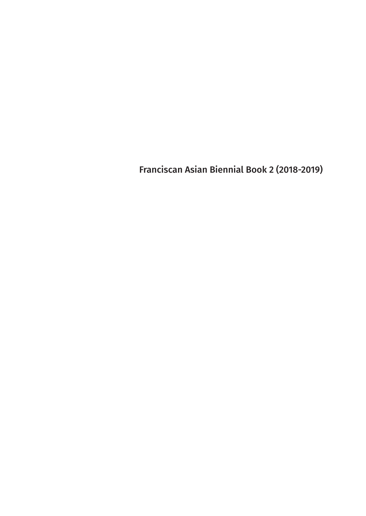Franciscan Asian Biennial Book 2 (2018-2019)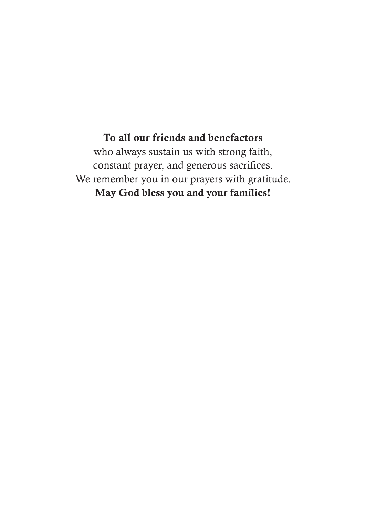To all our friends and benefactors who always sustain us with strong faith, constant prayer, and generous sacrifices. We remember you in our prayers with gratitude. May God bless you and your families!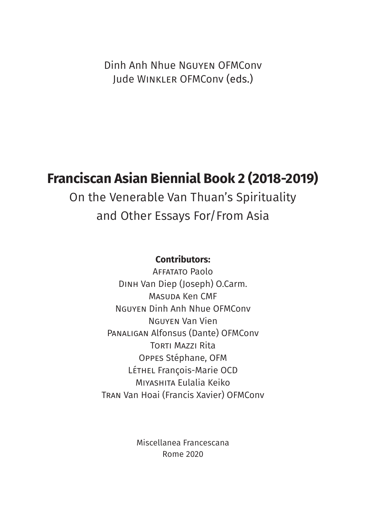Dinh Anh Nhue Nguyen OFMConv Jude Winkler OFMConv (eds.)

### **Franciscan Asian Biennial Book 2 (2018-2019)**

On the Venerable Van Thuan's Spirituality and Other Essays For/From Asia

#### **Contributors:**

Affatato Paolo Dinh Van Diep (Joseph) O.Carm. Masuda Ken CMF Nguyen Dinh Anh Nhue OFMConv Nguyen Van Vien Panaligan Alfonsus (Dante) OFMConv Torti Mazzi Rita Oppes Stéphane, OFM Léthel François-Marie OCD Miyashita Eulalia Keiko Tran Van Hoai (Francis Xavier) OFMConv

> Miscellanea Francescana Rome 2020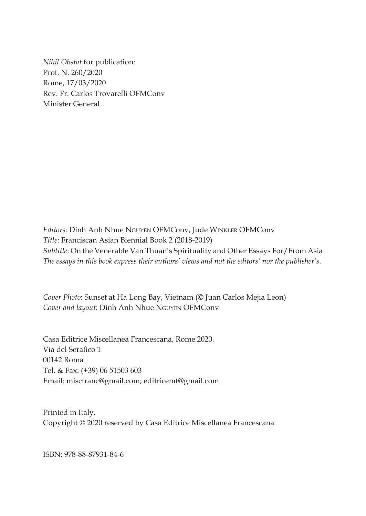*Nihil Obstat* for publication: Prot. N. 260/2020 Rome, 17/03/2020 Rev. Fr. Carlos Trovarelli OFMConv Minister General

*Editors*: Dinh Anh Nhue Nguyen OFMConv, Jude Winkler OFMConv *Title*: Franciscan Asian Biennial Book 2 (2018-2019) *Subtitle*: On the Venerable Van Thuan's Spirituality and Other Essays For/From Asia *The essays in this book express their authors' views and not the editors' nor the publisher's.*

*Cover Photo*: Sunset at Ha Long Bay, Vietnam (© Juan Carlos Mejia Leon) *Cover and layout*: Dinh Anh Nhue Nguyen OFMConv

Casa Editrice Miscellanea Francescana, Rome 2020. Via del Serafico 1 00142 Roma Tel. & Fax: (+39) 06 51503 603 Email: miscfranc@gmail.com; editricemf@gmail.com

Printed in Italy. Copyright © 2020 reserved by Casa Editrice Miscellanea Francescana

ISBN: 978-88-87931-84-6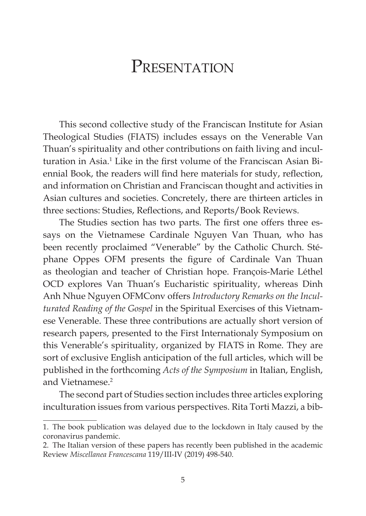### PRESENTATION

This second collective study of the Franciscan Institute for Asian Theological Studies (FIATS) includes essays on the Venerable Van Thuan's spirituality and other contributions on faith living and inculturation in Asia.<sup>1</sup> Like in the first volume of the Franciscan Asian Biennial Book, the readers will find here materials for study, reflection, and information on Christian and Franciscan thought and activities in Asian cultures and societies. Concretely, there are thirteen articles in three sections: Studies, Reflections, and Reports/Book Reviews.

The Studies section has two parts. The first one offers three essays on the Vietnamese Cardinale Nguyen Van Thuan, who has been recently proclaimed "Venerable" by the Catholic Church. Stéphane Oppes OFM presents the figure of Cardinale Van Thuan as theologian and teacher of Christian hope. François-Marie Léthel OCD explores Van Thuan's Eucharistic spirituality, whereas Dinh Anh Nhue Nguyen OFMConv offers *Introductory Remarks on the Inculturated Reading of the Gospel* in the Spiritual Exercises of this Vietnamese Venerable. These three contributions are actually short version of research papers, presented to the First Internationaly Symposium on this Venerable's spirituality, organized by FIATS in Rome. They are sort of exclusive English anticipation of the full articles, which will be published in the forthcoming *Acts of the Symposium* in Italian, English, and Vietnamese.<sup>2</sup>

The second part of Studies section includes three articles exploring inculturation issues from various perspectives. Rita Torti Mazzi, a bib-

<sup>1.</sup> The book publication was delayed due to the lockdown in Italy caused by the coronavirus pandemic.

<sup>2.</sup> The Italian version of these papers has recently been published in the academic Review *Miscellanea Francescana* 119/III-IV (2019) 498-540.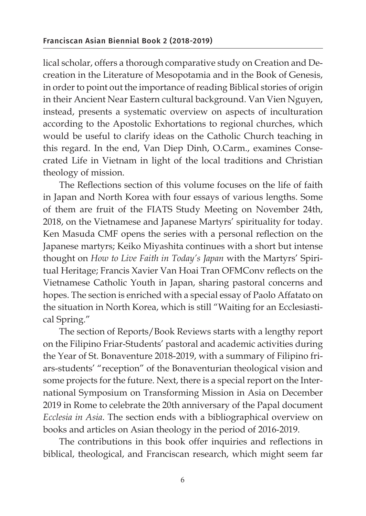lical scholar, offers a thorough comparative study on Creation and Decreation in the Literature of Mesopotamia and in the Book of Genesis, in order to point out the importance of reading Biblical stories of origin in their Ancient Near Eastern cultural background. Van Vien Nguyen, instead, presents a systematic overview on aspects of inculturation according to the Apostolic Exhortations to regional churches, which would be useful to clarify ideas on the Catholic Church teaching in this regard. In the end, Van Diep Dinh, O.Carm., examines Consecrated Life in Vietnam in light of the local traditions and Christian theology of mission.

The Reflections section of this volume focuses on the life of faith in Japan and North Korea with four essays of various lengths. Some of them are fruit of the FIATS Study Meeting on November 24th, 2018, on the Vietnamese and Japanese Martyrs' spirituality for today. Ken Masuda CMF opens the series with a personal reflection on the Japanese martyrs; Keiko Miyashita continues with a short but intense thought on *How to Live Faith in Today's Japan* with the Martyrs' Spiritual Heritage; Francis Xavier Van Hoai Tran OFMConv reflects on the Vietnamese Catholic Youth in Japan, sharing pastoral concerns and hopes. The section is enriched with a special essay of Paolo Affatato on the situation in North Korea, which is still "Waiting for an Ecclesiastical Spring."

The section of Reports/Book Reviews starts with a lengthy report on the Filipino Friar-Students' pastoral and academic activities during the Year of St. Bonaventure 2018-2019, with a summary of Filipino friars-students' "reception" of the Bonaventurian theological vision and some projects for the future. Next, there is a special report on the International Symposium on Transforming Mission in Asia on December 2019 in Rome to celebrate the 20th anniversary of the Papal document *Ecclesia in Asia*. The section ends with a bibliographical overview on books and articles on Asian theology in the period of 2016-2019.

The contributions in this book offer inquiries and reflections in biblical, theological, and Franciscan research, which might seem far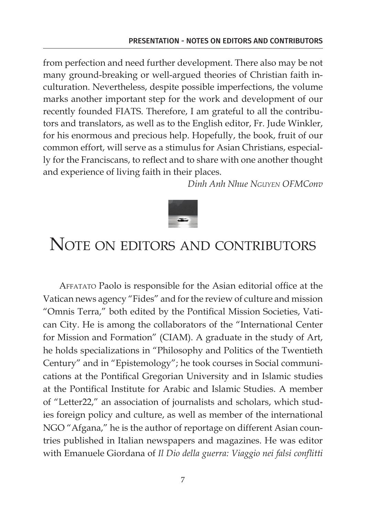from perfection and need further development. There also may be not many ground-breaking or well-argued theories of Christian faith inculturation. Nevertheless, despite possible imperfections, the volume marks another important step for the work and development of our recently founded FIATS. Therefore, I am grateful to all the contributors and translators, as well as to the English editor, Fr. Jude Winkler, for his enormous and precious help. Hopefully, the book, fruit of our common effort, will serve as a stimulus for Asian Christians, especially for the Franciscans, to reflect and to share with one another thought and experience of living faith in their places.

*Dinh Anh Nhue Nguyen OFMConv*



## NOTE ON EDITORS AND CONTRIBUTORS

Affatato Paolo is responsible for the Asian editorial office at the Vatican news agency "Fides" and for the review of culture and mission "Omnis Terra," both edited by the Pontifical Mission Societies, Vatican City. He is among the collaborators of the "International Center for Mission and Formation" (CIAM). A graduate in the study of Art, he holds specializations in "Philosophy and Politics of the Twentieth Century" and in "Epistemology"; he took courses in Social communications at the Pontifical Gregorian University and in Islamic studies at the Pontifical Institute for Arabic and Islamic Studies. A member of "Letter22," an association of journalists and scholars, which studies foreign policy and culture, as well as member of the international NGO "Afgana," he is the author of reportage on different Asian countries published in Italian newspapers and magazines. He was editor with Emanuele Giordana of *Il Dio della guerra: Viaggio nei falsi conflitti*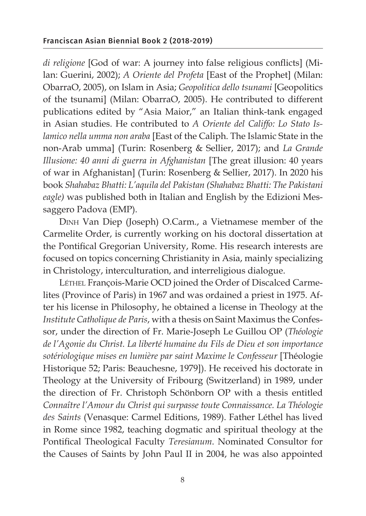*di religione* [God of war: A journey into false religious conflicts] (Milan: Guerini, 2002); *A Oriente del Profeta* [East of the Prophet] (Milan: ObarraO, 2005), on Islam in Asia; *Geopolitica dello tsunami* [Geopolitics of the tsunami] (Milan: ObarraO, 2005). He contributed to different publications edited by "Asia Maior," an Italian think-tank engaged in Asian studies. He contributed to *A Oriente del Califfo: Lo Stato Islamico nella umma non araba* [East of the Caliph. The Islamic State in the non-Arab umma] (Turin: Rosenberg & Sellier, 2017); and *La Grande Illusione: 40 anni di guerra in Afghanistan* [The great illusion: 40 years of war in Afghanistan] (Turin: Rosenberg & Sellier, 2017). In 2020 his book *Shahabaz Bhatti: L'aquila del Pakistan (Shahabaz Bhatti: The Pakistani eagle)* was published both in Italian and English by the Edizioni Messaggero Padova (EMP).

Dinh Van Diep (Joseph) O.Carm., a Vietnamese member of the Carmelite Order, is currently working on his doctoral dissertation at the Pontifical Gregorian University, Rome. His research interests are focused on topics concerning Christianity in Asia, mainly specializing in Christology, interculturation, and interreligious dialogue.

Léthel François-Marie OCD joined the Order of Discalced Carmelites (Province of Paris) in 1967 and was ordained a priest in 1975. After his license in Philosophy, he obtained a license in Theology at the *Institute Catholique de Paris*, with a thesis on Saint Maximus the Confessor, under the direction of Fr. Marie-Joseph Le Guillou OP (*Théologie de l'Agonie du Christ. La liberté humaine du Fils de Dieu et son importance sotériologique mises en lumière par saint Maxime le Confesseur* [Théologie Historique 52; Paris: Beauchesne, 1979]). He received his doctorate in Theology at the University of Fribourg (Switzerland) in 1989, under the direction of Fr. Christoph Schönborn OP with a thesis entitled *Connaître l'Amour du Christ qui surpasse toute Connaissance. La Théologie des Saints* (Venasque: Carmel Editions, 1989). Father Léthel has lived in Rome since 1982, teaching dogmatic and spiritual theology at the Pontifical Theological Faculty *Teresianum*. Nominated Consultor for the Causes of Saints by John Paul II in 2004, he was also appointed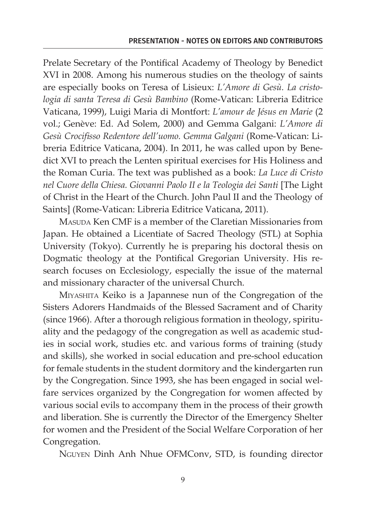Prelate Secretary of the Pontifical Academy of Theology by Benedict XVI in 2008. Among his numerous studies on the theology of saints are especially books on Teresa of Lisieux: *L'Amore di Gesù. La cristologia di santa Teresa di Gesù Bambino* (Rome-Vatican: Libreria Editrice Vaticana, 1999), Luigi Maria di Montfort: *L'amour de Jésus en Marie* (2 vol.; Genève: Ed. Ad Solem, 2000) and Gemma Galgani: *L'Amore di Gesù Crocifisso Redentore dell'uomo. Gemma Galgani* (Rome-Vatican: Libreria Editrice Vaticana, 2004). In 2011, he was called upon by Benedict XVI to preach the Lenten spiritual exercises for His Holiness and the Roman Curia. The text was published as a book: *La Luce di Cristo nel Cuore della Chiesa. Giovanni Paolo II e la Teologia dei Santi* [The Light of Christ in the Heart of the Church. John Paul II and the Theology of Saints] (Rome-Vatican: Libreria Editrice Vaticana, 2011).

MASUDA Ken CMF is a member of the Claretian Missionaries from Japan. He obtained a Licentiate of Sacred Theology (STL) at Sophia University (Tokyo). Currently he is preparing his doctoral thesis on Dogmatic theology at the Pontifical Gregorian University. His research focuses on Ecclesiology, especially the issue of the maternal and missionary character of the universal Church.

Miyashita Keiko is a Japannese nun of the Congregation of the Sisters Adorers Handmaids of the Blessed Sacrament and of Charity (since 1966). After a thorough religious formation in theology, spirituality and the pedagogy of the congregation as well as academic studies in social work, studies etc. and various forms of training (study and skills), she worked in social education and pre-school education for female students in the student dormitory and the kindergarten run by the Congregation. Since 1993, she has been engaged in social welfare services organized by the Congregation for women affected by various social evils to accompany them in the process of their growth and liberation. She is currently the Director of the Emergency Shelter for women and the President of the Social Welfare Corporation of her Congregation.

Nguyen Dinh Anh Nhue OFMConv, STD, is founding director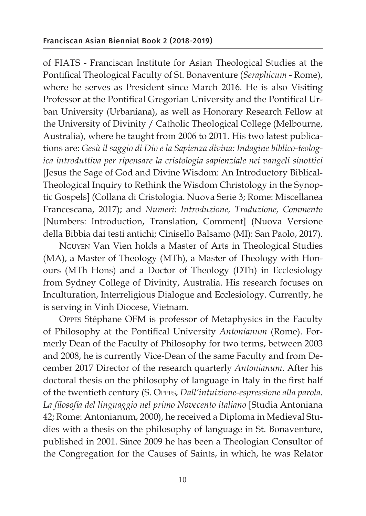of FIATS - Franciscan Institute for Asian Theological Studies at the Pontifical Theological Faculty of St. Bonaventure (*Seraphicum* - Rome), where he serves as President since March 2016. He is also Visiting Professor at the Pontifical Gregorian University and the Pontifical Urban University (Urbaniana), as well as Honorary Research Fellow at the University of Divinity / Catholic Theological College (Melbourne, Australia), where he taught from 2006 to 2011. His two latest publications are: *Gesù il saggio di Dio e la Sapienza divina: Indagine biblico-teologica introduttiva per ripensare la cristologia sapienziale nei vangeli sinottici*  [Jesus the Sage of God and Divine Wisdom: An Introductory Biblical-Theological Inquiry to Rethink the Wisdom Christology in the Synoptic Gospels] (Collana di Cristologia. Nuova Serie 3; Rome: Miscellanea Francescana, 2017); and *Numeri: Introduzione, Traduzione, Commento* [Numbers: Introduction, Translation, Comment] (Nuova Versione della Bibbia dai testi antichi; Cinisello Balsamo (MI): San Paolo, 2017).

Nguyen Van Vien holds a Master of Arts in Theological Studies (MA), a Master of Theology (MTh), a Master of Theology with Honours (MTh Hons) and a Doctor of Theology (DTh) in Ecclesiology from Sydney College of Divinity, Australia. His research focuses on Inculturation, Interreligious Dialogue and Ecclesiology. Currently, he is serving in Vinh Diocese, Vietnam.

Oppes Stéphane OFM is professor of Metaphysics in the Faculty of Philosophy at the Pontifical University *Antonianum* (Rome). Formerly Dean of the Faculty of Philosophy for two terms, between 2003 and 2008, he is currently Vice-Dean of the same Faculty and from December 2017 Director of the research quarterly *Antonianum*. After his doctoral thesis on the philosophy of language in Italy in the first half of the twentieth century (S. Oppes, *Dall'intuizione-espressione alla parola. La filosofia del linguaggio nel primo Novecento italiano* [Studia Antoniana 42; Rome: Antonianum, 2000), he received a Diploma in Medieval Studies with a thesis on the philosophy of language in St. Bonaventure, published in 2001. Since 2009 he has been a Theologian Consultor of the Congregation for the Causes of Saints, in which, he was Relator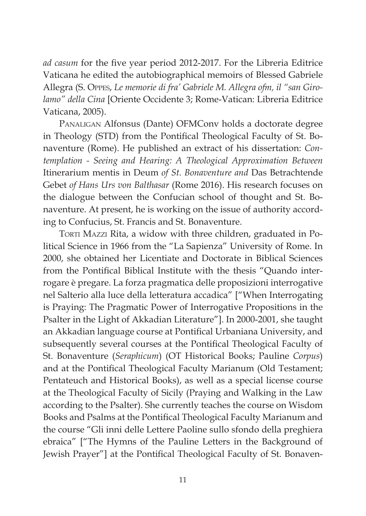*ad casum* for the five year period 2012-2017. For the Libreria Editrice Vaticana he edited the autobiographical memoirs of Blessed Gabriele Allegra (S. Oppes, *Le memorie di fra' Gabriele M. Allegra ofm, il "san Girolamo" della Cina* [Oriente Occidente 3; Rome-Vatican: Libreria Editrice Vaticana, 2005).

Panaligan Alfonsus (Dante) OFMConv holds a doctorate degree in Theology (STD) from the Pontifical Theological Faculty of St. Bonaventure (Rome). He published an extract of his dissertation: *Contemplation - Seeing and Hearing: A Theological Approximation Between*  Itinerarium mentis in Deum *of St. Bonaventure and* Das Betrachtende Gebet *of Hans Urs von Balthasar* (Rome 2016). His research focuses on the dialogue between the Confucian school of thought and St. Bonaventure. At present, he is working on the issue of authority according to Confucius, St. Francis and St. Bonaventure.

TORTI MAZZI Rita, a widow with three children, graduated in Political Science in 1966 from the "La Sapienza" University of Rome. In 2000, she obtained her Licentiate and Doctorate in Biblical Sciences from the Pontifical Biblical Institute with the thesis "Quando interrogare è pregare. La forza pragmatica delle proposizioni interrogative nel Salterio alla luce della letteratura accadica" ["When Interrogating is Praying: The Pragmatic Power of Interrogative Propositions in the Psalter in the Light of Akkadian Literature"]. In 2000-2001, she taught an Akkadian language course at Pontifical Urbaniana University, and subsequently several courses at the Pontifical Theological Faculty of St. Bonaventure (*Seraphicum*) (OT Historical Books; Pauline *Corpus*) and at the Pontifical Theological Faculty Marianum (Old Testament; Pentateuch and Historical Books), as well as a special license course at the Theological Faculty of Sicily (Praying and Walking in the Law according to the Psalter). She currently teaches the course on Wisdom Books and Psalms at the Pontifical Theological Faculty Marianum and the course "Gli inni delle Lettere Paoline sullo sfondo della preghiera ebraica" ["The Hymns of the Pauline Letters in the Background of Jewish Prayer"] at the Pontifical Theological Faculty of St. Bonaven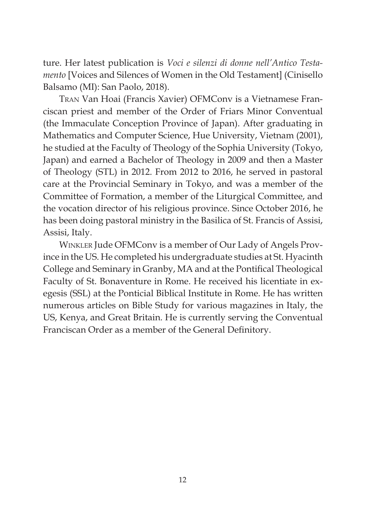ture. Her latest publication is *Voci e silenzi di donne nell'Antico Testamento* [Voices and Silences of Women in the Old Testament] (Cinisello Balsamo (MI): San Paolo, 2018).

Tran Van Hoai (Francis Xavier) OFMConv is a Vietnamese Franciscan priest and member of the Order of Friars Minor Conventual (the Immaculate Conception Province of Japan). After graduating in Mathematics and Computer Science, Hue University, Vietnam (2001), he studied at the Faculty of Theology of the Sophia University (Tokyo, Japan) and earned a Bachelor of Theology in 2009 and then a Master of Theology (STL) in 2012. From 2012 to 2016, he served in pastoral care at the Provincial Seminary in Tokyo, and was a member of the Committee of Formation, a member of the Liturgical Committee, and the vocation director of his religious province. Since October 2016, he has been doing pastoral ministry in the Basilica of St. Francis of Assisi, Assisi, Italy.

Winkler Jude OFMConv is a member of Our Lady of Angels Province in the US. He completed his undergraduate studies at St. Hyacinth College and Seminary in Granby, MA and at the Pontifical Theological Faculty of St. Bonaventure in Rome. He received his licentiate in exegesis (SSL) at the Ponticial Biblical Institute in Rome. He has written numerous articles on Bible Study for various magazines in Italy, the US, Kenya, and Great Britain. He is currently serving the Conventual Franciscan Order as a member of the General Definitory.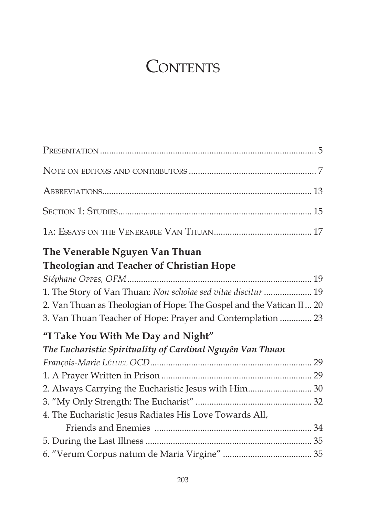## **CONTENTS**

| The Venerable Nguyen Van Thuan                                       |  |
|----------------------------------------------------------------------|--|
| <b>Theologian and Teacher of Christian Hope</b>                      |  |
|                                                                      |  |
| 1. The Story of Van Thuan: Non scholae sed vitae discitur  19        |  |
| 2. Van Thuan as Theologian of Hope: The Gospel and the Vatican II 20 |  |
| 3. Van Thuan Teacher of Hope: Prayer and Contemplation  23           |  |
| "I Take You With Me Day and Night"                                   |  |
| The Eucharistic Spirituality of Cardinal Nguyên Van Thuan            |  |
|                                                                      |  |
|                                                                      |  |
| 2. Always Carrying the Eucharistic Jesus with Him 30                 |  |
|                                                                      |  |
| 4. The Eucharistic Jesus Radiates His Love Towards All,              |  |
|                                                                      |  |
|                                                                      |  |
|                                                                      |  |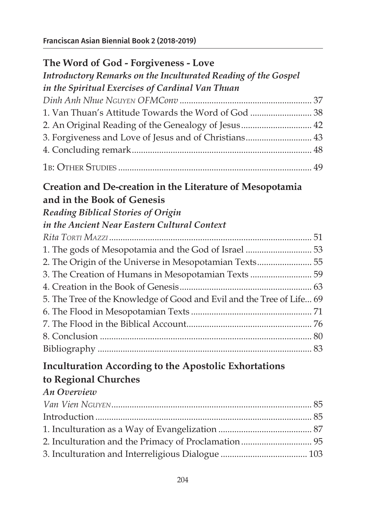| The Word of God - Forgiveness - Love                                  |  |
|-----------------------------------------------------------------------|--|
| Introductory Remarks on the Inculturated Reading of the Gospel        |  |
| in the Spiritual Exercises of Cardinal Van Thuan                      |  |
|                                                                       |  |
|                                                                       |  |
| 2. An Original Reading of the Genealogy of Jesus 42                   |  |
| 3. Forgiveness and Love of Jesus and of Christians 43                 |  |
|                                                                       |  |
|                                                                       |  |
| Creation and De-creation in the Literature of Mesopotamia             |  |
| and in the Book of Genesis                                            |  |
| <b>Reading Biblical Stories of Origin</b>                             |  |
| in the Ancient Near Eastern Cultural Context                          |  |
|                                                                       |  |
| 1. The gods of Mesopotamia and the God of Israel  53                  |  |
| 2. The Origin of the Universe in Mesopotamian Texts 55                |  |
| 3. The Creation of Humans in Mesopotamian Texts  59                   |  |
|                                                                       |  |
| 5. The Tree of the Knowledge of Good and Evil and the Tree of Life 69 |  |
|                                                                       |  |
|                                                                       |  |
|                                                                       |  |
|                                                                       |  |
| <b>Inculturation According to the Apostolic Exhortations</b>          |  |
| to Regional Churches                                                  |  |

#### *An Overview*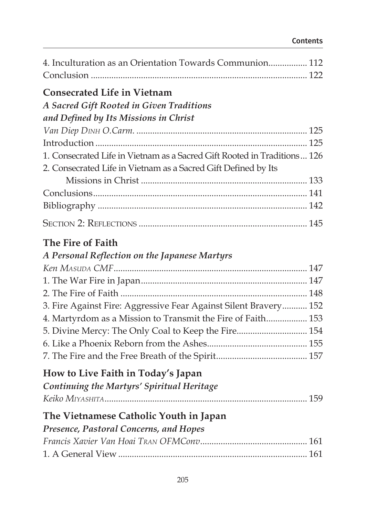#### Contents

| 4. Inculturation as an Orientation Towards Communion 112                                                                                   |  |
|--------------------------------------------------------------------------------------------------------------------------------------------|--|
| <b>Consecrated Life in Vietnam</b>                                                                                                         |  |
| <b>A Sacred Gift Rooted in Given Traditions</b>                                                                                            |  |
| and Defined by Its Missions in Christ                                                                                                      |  |
|                                                                                                                                            |  |
|                                                                                                                                            |  |
| 1. Consecrated Life in Vietnam as a Sacred Gift Rooted in Traditions 126<br>2. Consecrated Life in Vietnam as a Sacred Gift Defined by Its |  |
|                                                                                                                                            |  |
|                                                                                                                                            |  |
|                                                                                                                                            |  |
|                                                                                                                                            |  |
| The Fire of Faith                                                                                                                          |  |
| A Personal Reflection on the Japanese Martyrs                                                                                              |  |
|                                                                                                                                            |  |
|                                                                                                                                            |  |
|                                                                                                                                            |  |
| 3. Fire Against Fire: Aggressive Fear Against Silent Bravery 152                                                                           |  |
| 4. Martyrdom as a Mission to Transmit the Fire of Faith 153                                                                                |  |
| 5. Divine Mercy: The Only Coal to Keep the Fire 154                                                                                        |  |
|                                                                                                                                            |  |
|                                                                                                                                            |  |
| How to Live Faith in Today's Japan                                                                                                         |  |
| Continuing the Martyrs' Spiritual Heritage                                                                                                 |  |
|                                                                                                                                            |  |
| The Vietnamese Catholic Youth in Japan                                                                                                     |  |
| Presence, Pastoral Concerns, and Hopes                                                                                                     |  |
|                                                                                                                                            |  |
|                                                                                                                                            |  |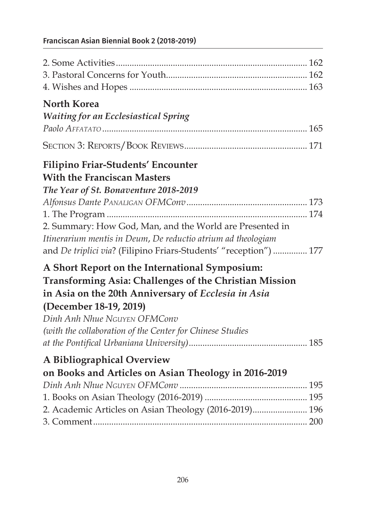### Franciscan Asian Biennial Book 2 (2018-2019)

| <b>North Korea</b>                                                |  |
|-------------------------------------------------------------------|--|
| <b>Waiting for an Ecclesiastical Spring</b>                       |  |
|                                                                   |  |
|                                                                   |  |
|                                                                   |  |
| <b>Filipino Friar-Students' Encounter</b>                         |  |
| <b>With the Franciscan Masters</b>                                |  |
| The Year of St. Bonaventure 2018-2019                             |  |
|                                                                   |  |
|                                                                   |  |
| 2. Summary: How God, Man, and the World are Presented in          |  |
| Itinerarium mentis in Deum, De reductio atrium ad theologiam      |  |
| and De triplici via? (Filipino Friars-Students' "reception")  177 |  |
| A Short Report on the International Symposium:                    |  |
| Transforming Asia: Challenges of the Christian Mission            |  |
| in Asia on the 20th Anniversary of Ecclesia in Asia               |  |
| (December 18-19, 2019)                                            |  |
| Dinh Anh Nhue NGUYEN OFMConv                                      |  |
| (with the collaboration of the Center for Chinese Studies         |  |
|                                                                   |  |
| A Bibliographical Overview                                        |  |
| on Books and Articles on Asian Theology in 2016-2019              |  |
|                                                                   |  |
|                                                                   |  |
| 2. Academic Articles on Asian Theology (2016-2019) 196            |  |
|                                                                   |  |